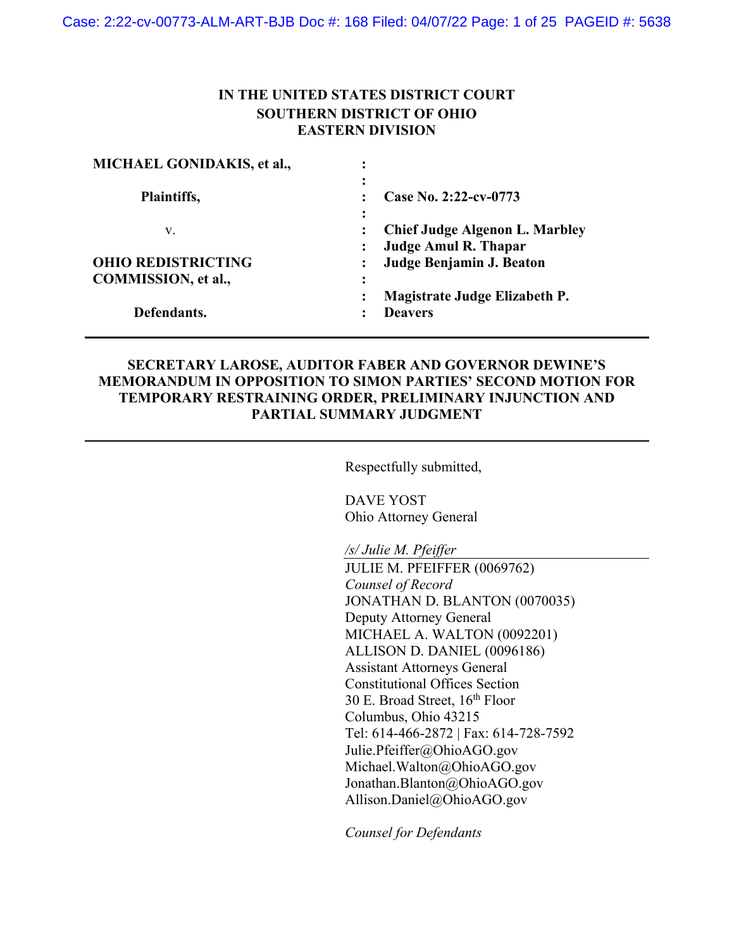## **IN THE UNITED STATES DISTRICT COURT SOUTHERN DISTRICT OF OHIO EASTERN DIVISION**

| ٠                                                       |
|---------------------------------------------------------|
| Case No. 2:22-cv-0773                                   |
| $\ddot{\cdot}$<br><b>Chief Judge Algenon L. Marbley</b> |
| <b>Judge Amul R. Thapar</b>                             |
| Judge Benjamin J. Beaton                                |
|                                                         |
| Magistrate Judge Elizabeth P.                           |
| <b>Deavers</b>                                          |
|                                                         |

## **SECRETARY LAROSE, AUDITOR FABER AND GOVERNOR DEWINE'S MEMORANDUM IN OPPOSITION TO SIMON PARTIES' SECOND MOTION FOR TEMPORARY RESTRAINING ORDER, PRELIMINARY INJUNCTION AND PARTIAL SUMMARY JUDGMENT**

Respectfully submitted,

DAVE YOST Ohio Attorney General

*/s/ Julie M. Pfeiffer*

JULIE M. PFEIFFER (0069762) *Counsel of Record* JONATHAN D. BLANTON (0070035) Deputy Attorney General MICHAEL A. WALTON (0092201) ALLISON D. DANIEL (0096186) Assistant Attorneys General Constitutional Offices Section 30 E. Broad Street,  $16^{th}$  Floor Columbus, Ohio 43215 Tel: 614-466-2872 | Fax: 614-728-7592 Julie.Pfeiffer@OhioAGO.gov Michael.Walton@OhioAGO.gov Jonathan.Blanton@OhioAGO.gov Allison.Daniel@OhioAGO.gov

*Counsel for Defendants*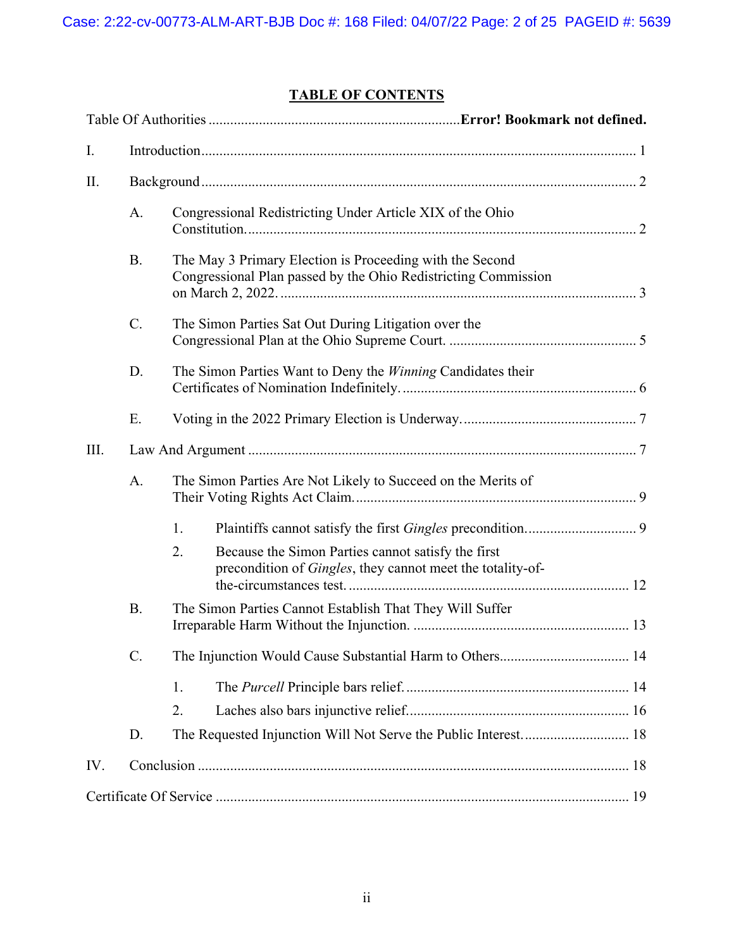# **TABLE OF CONTENTS**

| I.   |             |                                                              |                                                                                                                            |  |
|------|-------------|--------------------------------------------------------------|----------------------------------------------------------------------------------------------------------------------------|--|
| П.   |             |                                                              |                                                                                                                            |  |
|      | A.          |                                                              | Congressional Redistricting Under Article XIX of the Ohio                                                                  |  |
|      | <b>B.</b>   |                                                              | The May 3 Primary Election is Proceeding with the Second<br>Congressional Plan passed by the Ohio Redistricting Commission |  |
|      | $C_{\cdot}$ |                                                              | The Simon Parties Sat Out During Litigation over the                                                                       |  |
|      | D.          |                                                              | The Simon Parties Want to Deny the Winning Candidates their                                                                |  |
|      | E.          |                                                              |                                                                                                                            |  |
| III. |             |                                                              |                                                                                                                            |  |
|      | A.          | The Simon Parties Are Not Likely to Succeed on the Merits of |                                                                                                                            |  |
|      |             | 1.                                                           |                                                                                                                            |  |
|      |             | 2.                                                           | Because the Simon Parties cannot satisfy the first<br>precondition of Gingles, they cannot meet the totality-of-           |  |
|      | <b>B.</b>   |                                                              | The Simon Parties Cannot Establish That They Will Suffer                                                                   |  |
|      | C.          |                                                              |                                                                                                                            |  |
|      |             | 1.                                                           |                                                                                                                            |  |
|      |             | 2.                                                           |                                                                                                                            |  |
|      | D.          |                                                              |                                                                                                                            |  |
| IV.  |             |                                                              |                                                                                                                            |  |
|      |             |                                                              |                                                                                                                            |  |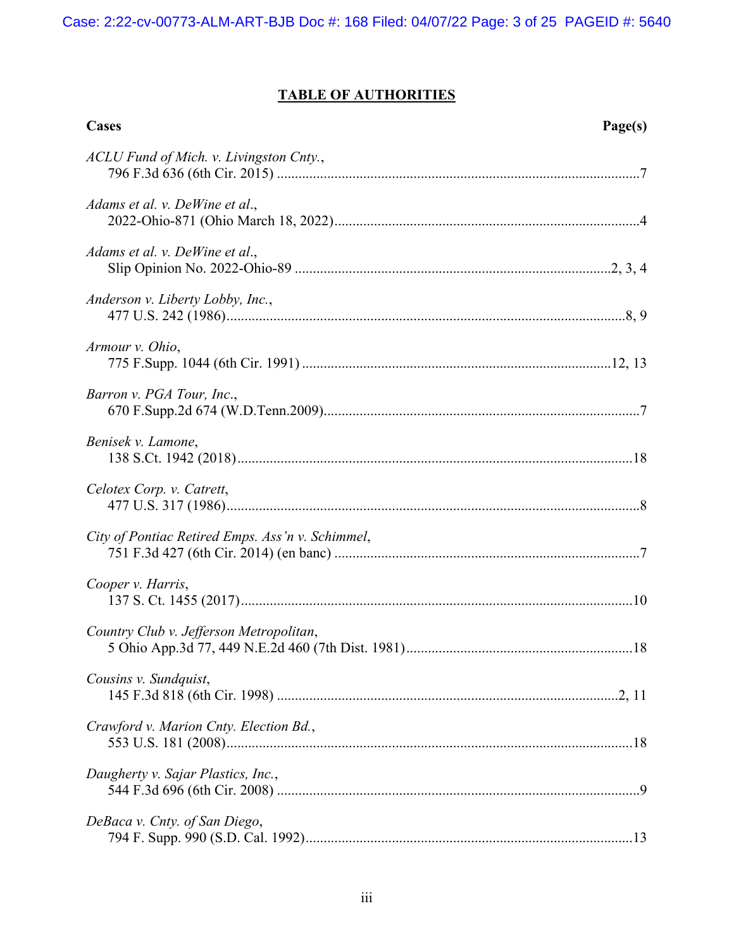# **TABLE OF AUTHORITIES**

| Cases<br>Page(s)                                 |  |
|--------------------------------------------------|--|
| ACLU Fund of Mich. v. Livingston Cnty.,          |  |
| Adams et al. v. DeWine et al.,                   |  |
| Adams et al. v. DeWine et al.,                   |  |
| Anderson v. Liberty Lobby, Inc.,                 |  |
| Armour v. Ohio,                                  |  |
| Barron v. PGA Tour, Inc.,                        |  |
| Benisek v. Lamone,                               |  |
| Celotex Corp. v. Catrett,                        |  |
| City of Pontiac Retired Emps. Ass'n v. Schimmel, |  |
| Cooper v. Harris,                                |  |
| Country Club v. Jefferson Metropolitan,          |  |
| Cousins v. Sundquist,                            |  |
| Crawford v. Marion Cnty. Election Bd.,           |  |
| Daugherty v. Sajar Plastics, Inc.,               |  |
| DeBaca v. Cnty. of San Diego,                    |  |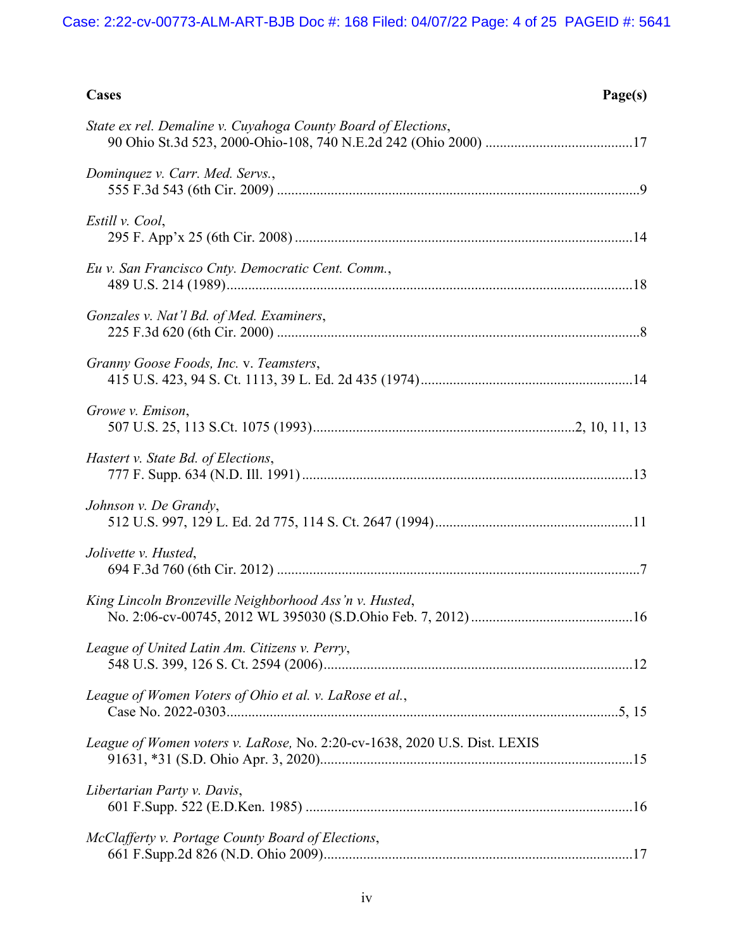| Cases                                                                     | Page(s) |
|---------------------------------------------------------------------------|---------|
| State ex rel. Demaline v. Cuyahoga County Board of Elections,             |         |
| Dominquez v. Carr. Med. Servs.,                                           |         |
| Estill v. Cool,                                                           |         |
| Eu v. San Francisco Cnty. Democratic Cent. Comm.,                         |         |
| Gonzales v. Nat'l Bd. of Med. Examiners,                                  |         |
| Granny Goose Foods, Inc. v. Teamsters,                                    |         |
| Growe v. Emison,                                                          |         |
| Hastert v. State Bd. of Elections,                                        |         |
| Johnson v. De Grandy,                                                     |         |
| Jolivette v. Husted,                                                      |         |
| King Lincoln Bronzeville Neighborhood Ass'n v. Husted,                    |         |
| League of United Latin Am. Citizens v. Perry,                             |         |
| League of Women Voters of Ohio et al. v. LaRose et al.,                   |         |
| League of Women voters v. LaRose, No. 2:20-cv-1638, 2020 U.S. Dist. LEXIS |         |
| Libertarian Party v. Davis,                                               |         |
| McClafferty v. Portage County Board of Elections,                         |         |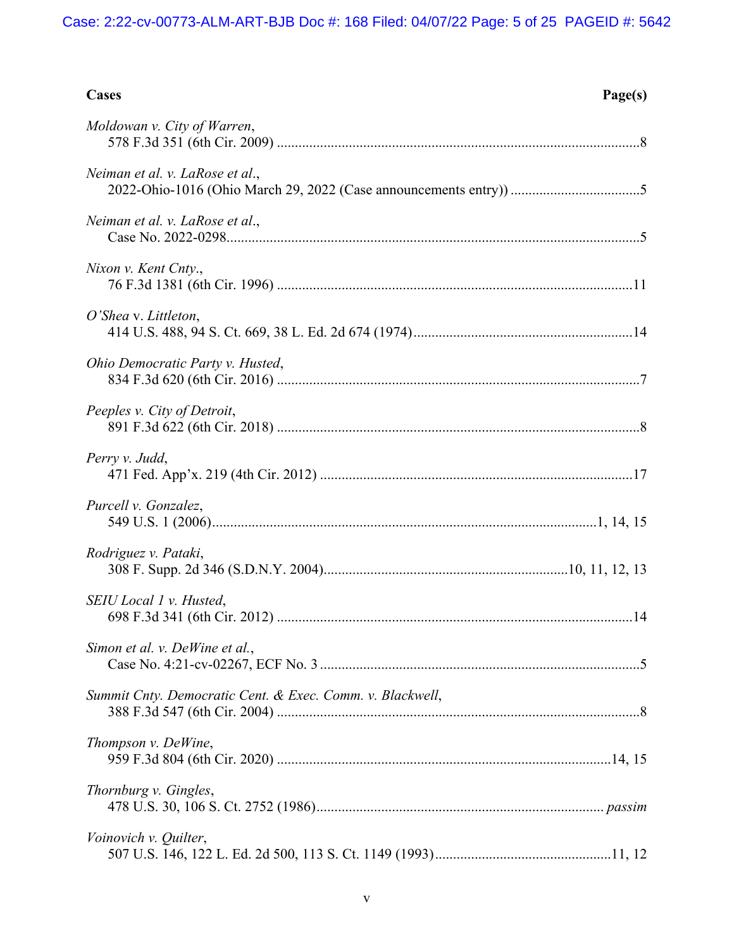| Cases<br>Page(s)                                          |  |
|-----------------------------------------------------------|--|
| Moldowan v. City of Warren,                               |  |
| Neiman et al. v. LaRose et al.,                           |  |
| Neiman et al. v. LaRose et al.,                           |  |
| Nixon v. Kent Cnty.,                                      |  |
| O'Shea v. Littleton,                                      |  |
| Ohio Democratic Party v. Husted,                          |  |
| Peeples v. City of Detroit,                               |  |
| Perry v. Judd,                                            |  |
| Purcell v. Gonzalez,                                      |  |
| Rodriguez v. Pataki,                                      |  |
| SEIU Local 1 v. Husted,                                   |  |
| Simon et al. v. DeWine et al.,                            |  |
| Summit Cnty. Democratic Cent. & Exec. Comm. v. Blackwell, |  |
| Thompson v. DeWine,                                       |  |
| Thornburg v. Gingles,                                     |  |
| Voinovich v. Quilter,                                     |  |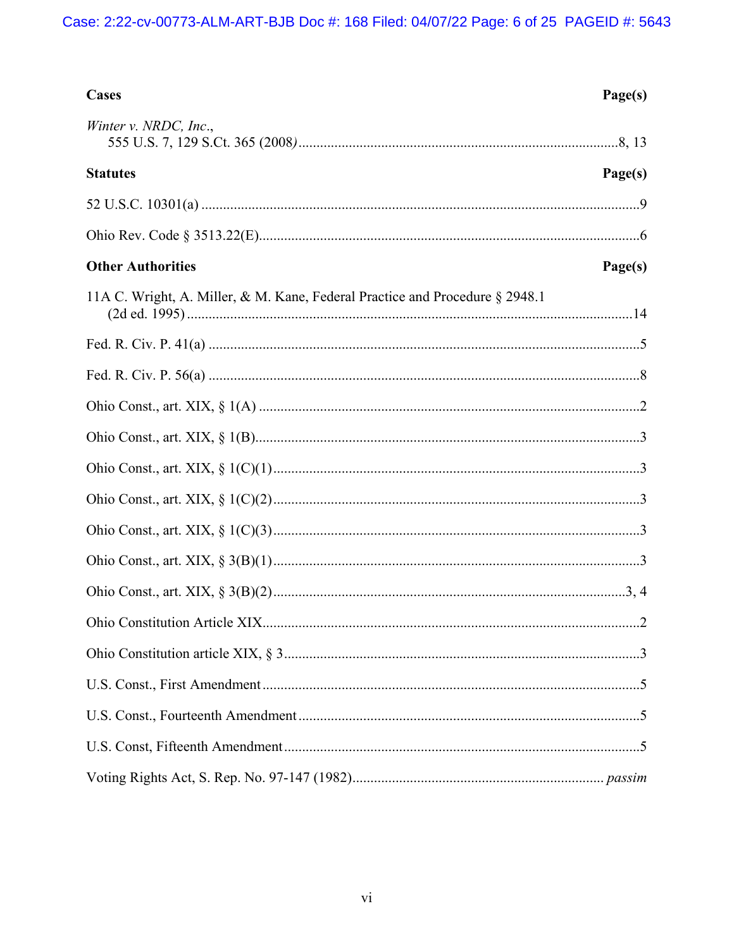| Cases                                                                        | Page(s) |
|------------------------------------------------------------------------------|---------|
| Winter v. NRDC, Inc.,                                                        |         |
| <b>Statutes</b>                                                              | Page(s) |
|                                                                              |         |
|                                                                              |         |
| <b>Other Authorities</b>                                                     | Page(s) |
| 11A C. Wright, A. Miller, & M. Kane, Federal Practice and Procedure § 2948.1 |         |
|                                                                              |         |
|                                                                              |         |
|                                                                              |         |
|                                                                              |         |
|                                                                              |         |
|                                                                              |         |
|                                                                              |         |
|                                                                              |         |
|                                                                              |         |
|                                                                              |         |
|                                                                              |         |
|                                                                              |         |
|                                                                              |         |
|                                                                              |         |
|                                                                              |         |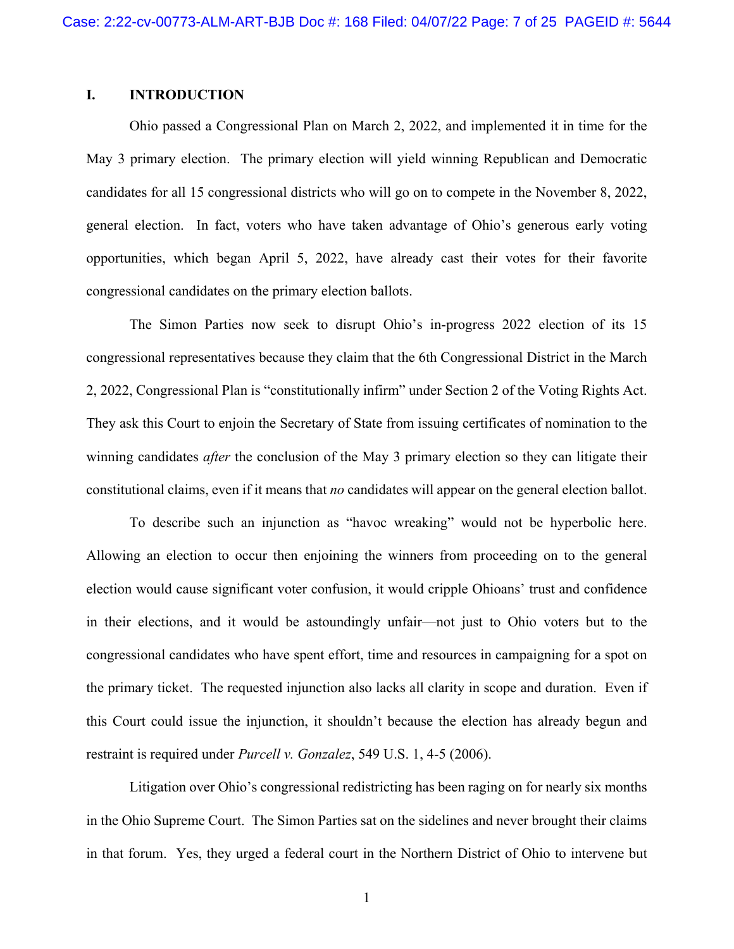## <span id="page-6-0"></span>**I. INTRODUCTION**

Ohio passed a Congressional Plan on March 2, 2022, and implemented it in time for the May 3 primary election. The primary election will yield winning Republican and Democratic candidates for all 15 congressional districts who will go on to compete in the November 8, 2022, general election. In fact, voters who have taken advantage of Ohio's generous early voting opportunities, which began April 5, 2022, have already cast their votes for their favorite congressional candidates on the primary election ballots.

<span id="page-6-2"></span>The Simon Parties now seek to disrupt Ohio's in-progress 2022 election of its 15 congressional representatives because they claim that the 6th Congressional District in the March 2, 2022, Congressional Plan is "constitutionally infirm" under Section 2 of the Voting Rights Act. They ask this Court to enjoin the Secretary of State from issuing certificates of nomination to the winning candidates *after* the conclusion of the May 3 primary election so they can litigate their constitutional claims, even if it means that *no* candidates will appear on the general election ballot.

To describe such an injunction as "havoc wreaking" would not be hyperbolic here. Allowing an election to occur then enjoining the winners from proceeding on to the general election would cause significant voter confusion, it would cripple Ohioans' trust and confidence in their elections, and it would be astoundingly unfair—not just to Ohio voters but to the congressional candidates who have spent effort, time and resources in campaigning for a spot on the primary ticket. The requested injunction also lacks all clarity in scope and duration. Even if this Court could issue the injunction, it shouldn't because the election has already begun and restraint is required under *Purcell v. Gonzalez*, 549 U.S. 1, 4-5 (2006).

<span id="page-6-1"></span> Litigation over Ohio's congressional redistricting has been raging on for nearly six months in the Ohio Supreme Court. The Simon Parties sat on the sidelines and never brought their claims in that forum. Yes, they urged a federal court in the Northern District of Ohio to intervene but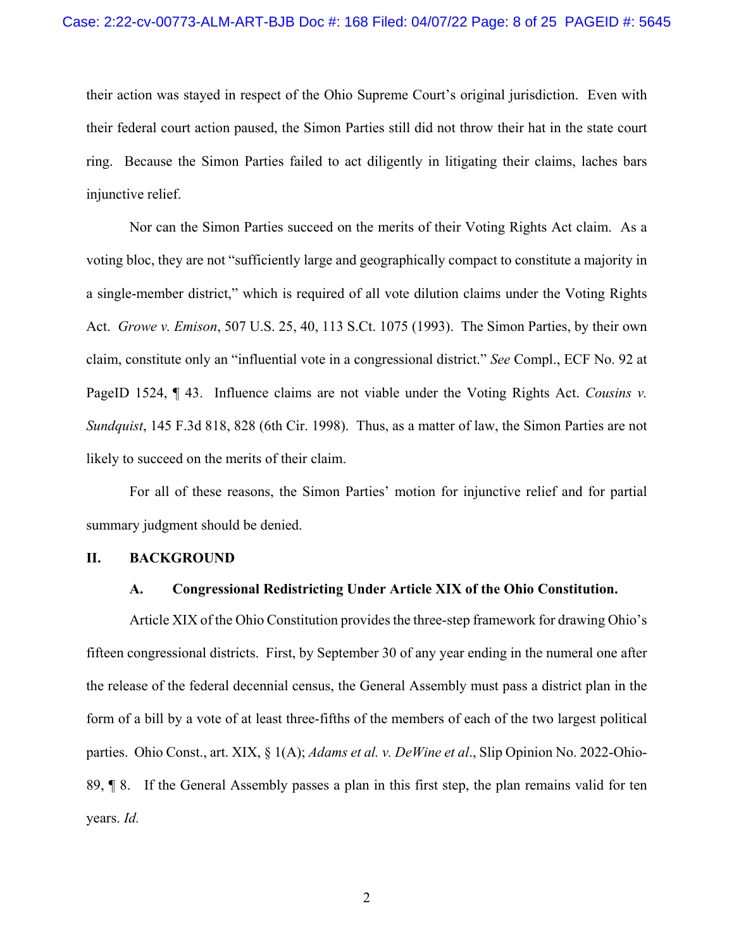their action was stayed in respect of the Ohio Supreme Court's original jurisdiction. Even with their federal court action paused, the Simon Parties still did not throw their hat in the state court ring. Because the Simon Parties failed to act diligently in litigating their claims, laches bars injunctive relief.

<span id="page-7-4"></span>Nor can the Simon Parties succeed on the merits of their Voting Rights Act claim. As a voting bloc, they are not "sufficiently large and geographically compact to constitute a majority in a single-member district," which is required of all vote dilution claims under the Voting Rights Act. *Growe v. Emison*, 507 U.S. 25, 40, 113 S.Ct. 1075 (1993). The Simon Parties, by their own claim, constitute only an "influential vote in a congressional district." *See* Compl., ECF No. 92 at PageID 1524, ¶ 43. Influence claims are not viable under the Voting Rights Act. *Cousins v. Sundquist*, 145 F.3d 818, 828 (6th Cir. 1998). Thus, as a matter of law, the Simon Parties are not likely to succeed on the merits of their claim.

For all of these reasons, the Simon Parties' motion for injunctive relief and for partial summary judgment should be denied.

#### <span id="page-7-1"></span><span id="page-7-0"></span>**II. BACKGROUND**

#### <span id="page-7-6"></span><span id="page-7-3"></span><span id="page-7-2"></span>**A. Congressional Redistricting Under Article XIX of the Ohio Constitution.**

<span id="page-7-5"></span>Article XIX of the Ohio Constitution provides the three-step framework for drawing Ohio's fifteen congressional districts. First, by September 30 of any year ending in the numeral one after the release of the federal decennial census, the General Assembly must pass a district plan in the form of a bill by a vote of at least three-fifths of the members of each of the two largest political parties. Ohio Const., art. XIX, § 1(A); *Adams et al. v. DeWine et al*., Slip Opinion No. 2022-Ohio-89, ¶ 8. If the General Assembly passes a plan in this first step, the plan remains valid for ten years. *Id.*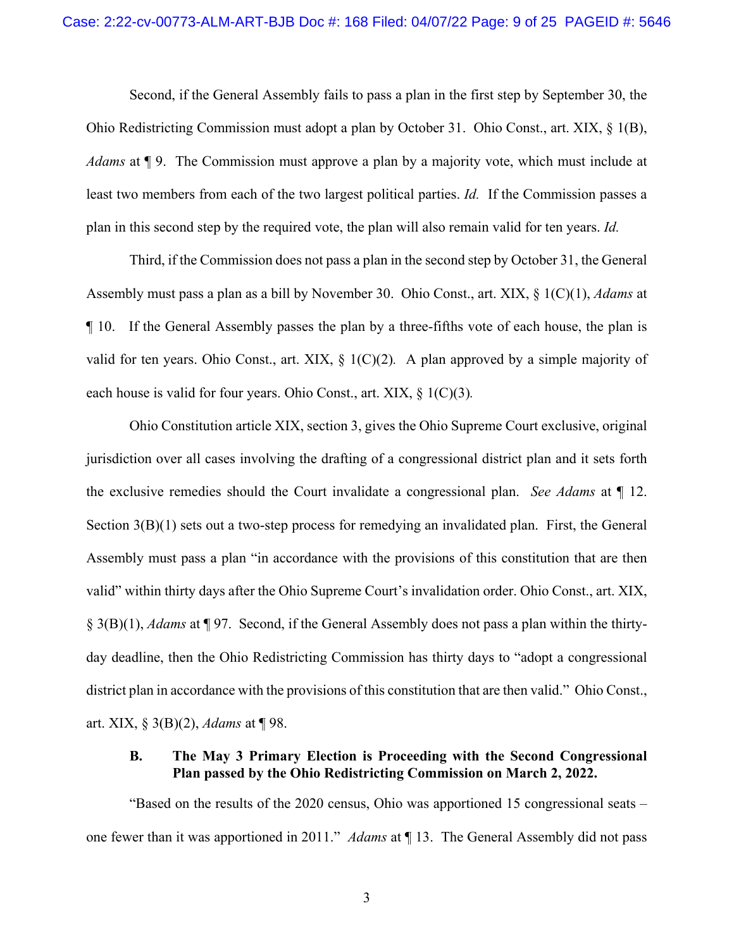<span id="page-8-2"></span><span id="page-8-1"></span>Second, if the General Assembly fails to pass a plan in the first step by September 30, the Ohio Redistricting Commission must adopt a plan by October 31. Ohio Const., art. XIX, § 1(B), *Adams* at ¶ 9. The Commission must approve a plan by a majority vote, which must include at least two members from each of the two largest political parties. *Id.* If the Commission passes a plan in this second step by the required vote, the plan will also remain valid for ten years. *Id.*

<span id="page-8-3"></span>Third, if the Commission does not pass a plan in the second step by October 31, the General Assembly must pass a plan as a bill by November 30. Ohio Const., art. XIX, § 1(C)(1), *Adams* at ¶ 10. If the General Assembly passes the plan by a three-fifths vote of each house, the plan is valid for ten years. Ohio Const., art. XIX, § 1(C)(2)*.* A plan approved by a simple majority of each house is valid for four years. Ohio Const., art. XIX, § 1(C)(3)*.*

<span id="page-8-8"></span><span id="page-8-5"></span><span id="page-8-4"></span>Ohio Constitution article XIX, section 3, gives the Ohio Supreme Court exclusive, original jurisdiction over all cases involving the drafting of a congressional district plan and it sets forth the exclusive remedies should the Court invalidate a congressional plan. *See Adams* at ¶ 12. Section 3(B)(1) sets out a two-step process for remedying an invalidated plan. First, the General Assembly must pass a plan "in accordance with the provisions of this constitution that are then valid" within thirty days after the Ohio Supreme Court's invalidation order. Ohio Const., art. XIX, § 3(B)(1), *Adams* at ¶ 97. Second, if the General Assembly does not pass a plan within the thirtyday deadline, then the Ohio Redistricting Commission has thirty days to "adopt a congressional district plan in accordance with the provisions of this constitution that are then valid." Ohio Const., art. XIX, § 3(B)(2), *Adams* at ¶ 98.

## <span id="page-8-7"></span><span id="page-8-6"></span><span id="page-8-0"></span>**B. The May 3 Primary Election is Proceeding with the Second Congressional Plan passed by the Ohio Redistricting Commission on March 2, 2022.**

"Based on the results of the 2020 census, Ohio was apportioned 15 congressional seats – one fewer than it was apportioned in 2011." *Adams* at ¶ 13. The General Assembly did not pass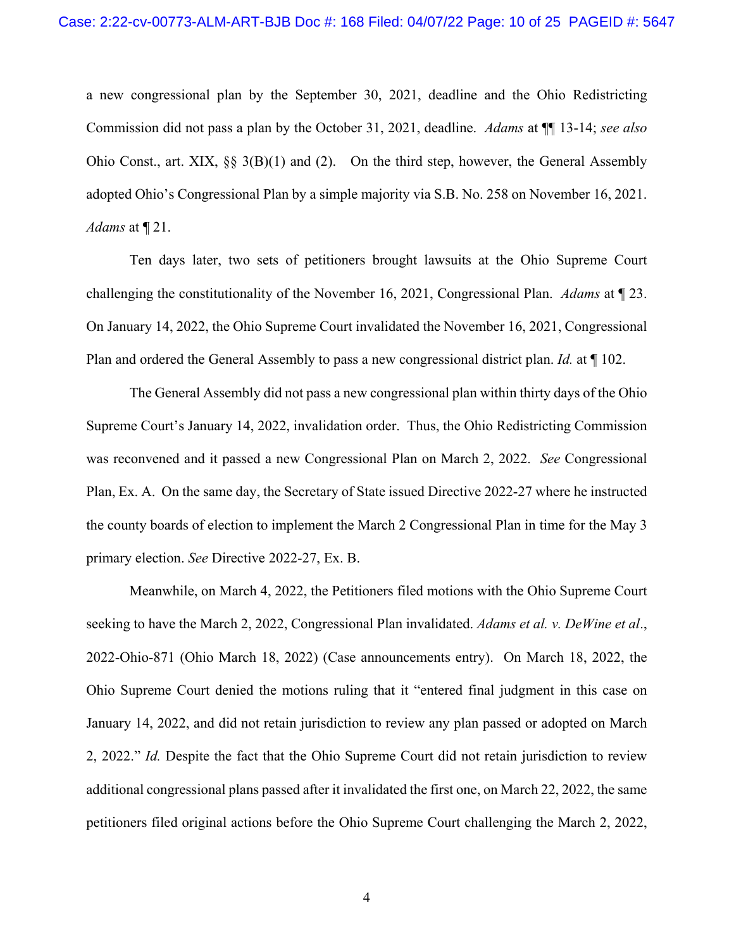<span id="page-9-2"></span><span id="page-9-1"></span>a new congressional plan by the September 30, 2021, deadline and the Ohio Redistricting Commission did not pass a plan by the October 31, 2021, deadline. *Adams* at ¶¶ 13-14; *see also* Ohio Const., art. XIX, §§ 3(B)(1) and (2). On the third step, however, the General Assembly adopted Ohio's Congressional Plan by a simple majority via S.B. No. 258 on November 16, 2021. *Adams* at ¶ 21.

Ten days later, two sets of petitioners brought lawsuits at the Ohio Supreme Court challenging the constitutionality of the November 16, 2021, Congressional Plan. *Adams* at ¶ 23. On January 14, 2022, the Ohio Supreme Court invalidated the November 16, 2021, Congressional Plan and ordered the General Assembly to pass a new congressional district plan. *Id.* at ¶ 102.

The General Assembly did not pass a new congressional plan within thirty days of the Ohio Supreme Court's January 14, 2022, invalidation order. Thus, the Ohio Redistricting Commission was reconvened and it passed a new Congressional Plan on March 2, 2022. *See* Congressional Plan, Ex. A. On the same day, the Secretary of State issued Directive 2022-27 where he instructed the county boards of election to implement the March 2 Congressional Plan in time for the May 3 primary election. *See* Directive 2022-27, Ex. B.

<span id="page-9-0"></span>Meanwhile, on March 4, 2022, the Petitioners filed motions with the Ohio Supreme Court seeking to have the March 2, 2022, Congressional Plan invalidated. *Adams et al. v. DeWine et al*., 2022-Ohio-871 (Ohio March 18, 2022) (Case announcements entry). On March 18, 2022, the Ohio Supreme Court denied the motions ruling that it "entered final judgment in this case on January 14, 2022, and did not retain jurisdiction to review any plan passed or adopted on March 2, 2022." *Id.* Despite the fact that the Ohio Supreme Court did not retain jurisdiction to review additional congressional plans passed after it invalidated the first one, on March 22, 2022, the same petitioners filed original actions before the Ohio Supreme Court challenging the March 2, 2022,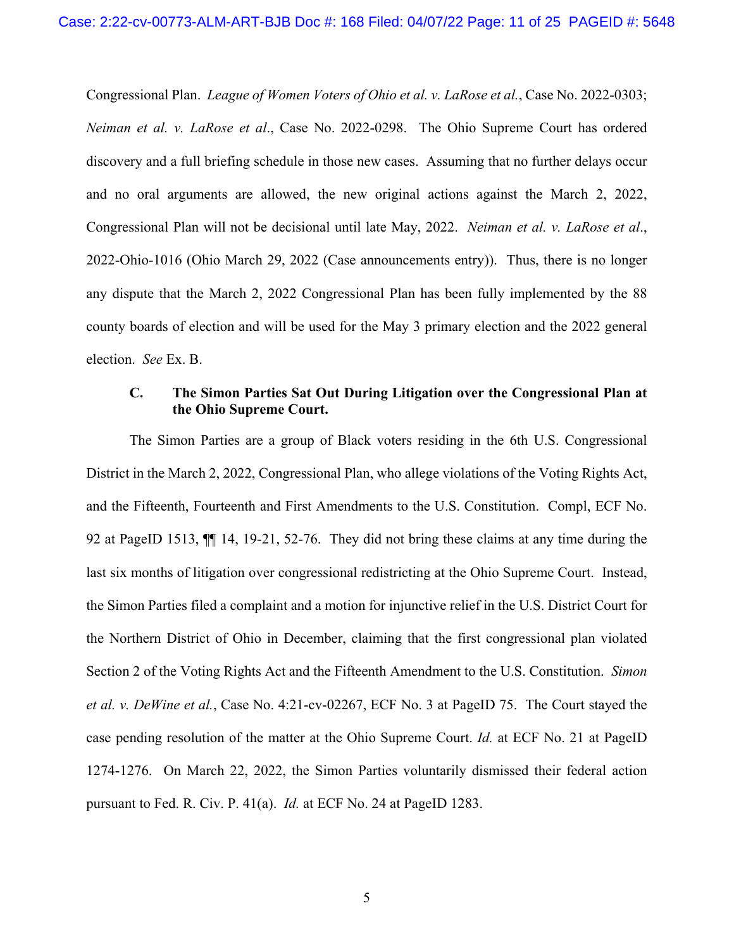<span id="page-10-3"></span><span id="page-10-1"></span>Congressional Plan. *League of Women Voters of Ohio et al. v. LaRose et al.*, Case No. 2022-0303; *Neiman et al. v. LaRose et al*., Case No. 2022-0298. The Ohio Supreme Court has ordered discovery and a full briefing schedule in those new cases. Assuming that no further delays occur and no oral arguments are allowed, the new original actions against the March 2, 2022, Congressional Plan will not be decisional until late May, 2022. *Neiman et al. v. LaRose et al*., 2022-Ohio-1016 (Ohio March 29, 2022 (Case announcements entry)). Thus, there is no longer any dispute that the March 2, 2022 Congressional Plan has been fully implemented by the 88 county boards of election and will be used for the May 3 primary election and the 2022 general election. *See* Ex. B.

## <span id="page-10-6"></span><span id="page-10-4"></span><span id="page-10-2"></span><span id="page-10-0"></span>**C. The Simon Parties Sat Out During Litigation over the Congressional Plan at the Ohio Supreme Court.**

<span id="page-10-8"></span><span id="page-10-7"></span><span id="page-10-5"></span>The Simon Parties are a group of Black voters residing in the 6th U.S. Congressional District in the March 2, 2022, Congressional Plan, who allege violations of the Voting Rights Act, and the Fifteenth, Fourteenth and First Amendments to the U.S. Constitution. Compl, ECF No. 92 at PageID 1513, ¶¶ 14, 19-21, 52-76. They did not bring these claims at any time during the last six months of litigation over congressional redistricting at the Ohio Supreme Court. Instead, the Simon Parties filed a complaint and a motion for injunctive relief in the U.S. District Court for the Northern District of Ohio in December, claiming that the first congressional plan violated Section 2 of the Voting Rights Act and the Fifteenth Amendment to the U.S. Constitution. *Simon et al. v. DeWine et al.*, Case No. 4:21-cv-02267, ECF No. 3 at PageID 75. The Court stayed the case pending resolution of the matter at the Ohio Supreme Court. *Id.* at ECF No. 21 at PageID 1274-1276. On March 22, 2022, the Simon Parties voluntarily dismissed their federal action pursuant to Fed. R. Civ. P. 41(a). *Id.* at ECF No. 24 at PageID 1283.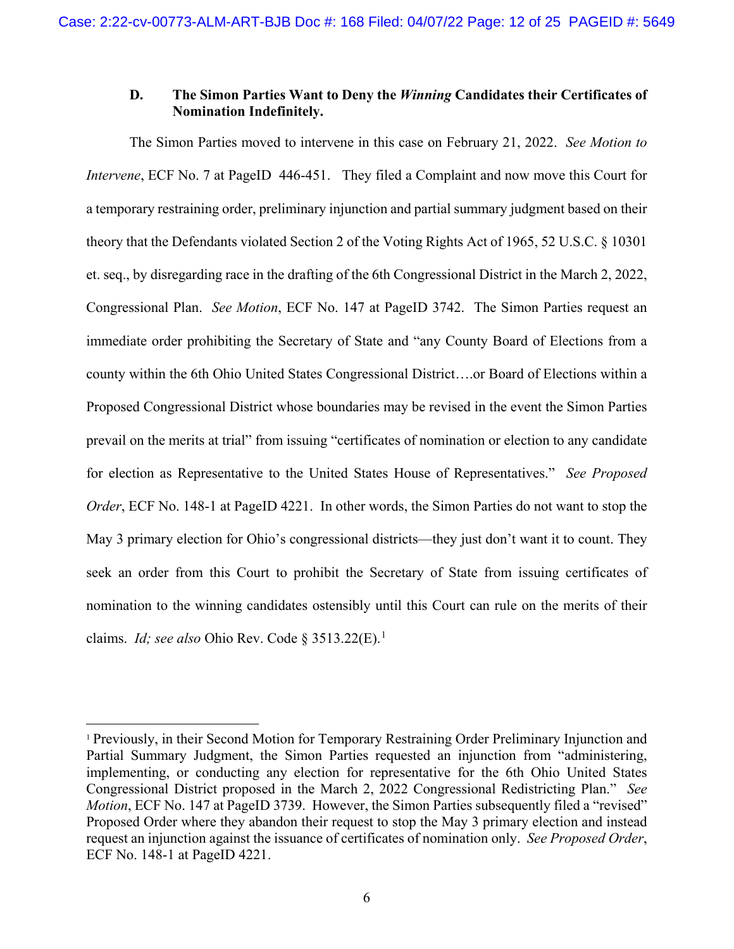## <span id="page-11-0"></span>**D. The Simon Parties Want to Deny the** *Winning* **Candidates their Certificates of Nomination Indefinitely.**

The Simon Parties moved to intervene in this case on February 21, 2022. *See Motion to Intervene*, ECF No. 7 at PageID 446-451. They filed a Complaint and now move this Court for a temporary restraining order, preliminary injunction and partial summary judgment based on their theory that the Defendants violated Section 2 of the Voting Rights Act of 1965, 52 U.S.C. § 10301 et. seq., by disregarding race in the drafting of the 6th Congressional District in the March 2, 2022, Congressional Plan. *See Motion*, ECF No. 147 at PageID 3742. The Simon Parties request an immediate order prohibiting the Secretary of State and "any County Board of Elections from a county within the 6th Ohio United States Congressional District….or Board of Elections within a Proposed Congressional District whose boundaries may be revised in the event the Simon Parties prevail on the merits at trial" from issuing "certificates of nomination or election to any candidate for election as Representative to the United States House of Representatives." *See Proposed Order*, ECF No. 148-1 at PageID 4221. In other words, the Simon Parties do not want to stop the May 3 primary election for Ohio's congressional districts—they just don't want it to count. They seek an order from this Court to prohibit the Secretary of State from issuing certificates of nomination to the winning candidates ostensibly until this Court can rule on the merits of their claims. *Id; see also* Ohio Rev. Code § 35[1](#page-11-2)3.22(E).<sup>1</sup>

<span id="page-11-2"></span><span id="page-11-1"></span> <sup>1</sup> Previously, in their Second Motion for Temporary Restraining Order Preliminary Injunction and Partial Summary Judgment, the Simon Parties requested an injunction from "administering, implementing, or conducting any election for representative for the 6th Ohio United States Congressional District proposed in the March 2, 2022 Congressional Redistricting Plan." *See Motion*, ECF No. 147 at PageID 3739. However, the Simon Parties subsequently filed a "revised" Proposed Order where they abandon their request to stop the May 3 primary election and instead request an injunction against the issuance of certificates of nomination only. *See Proposed Order*, ECF No. 148-1 at PageID 4221.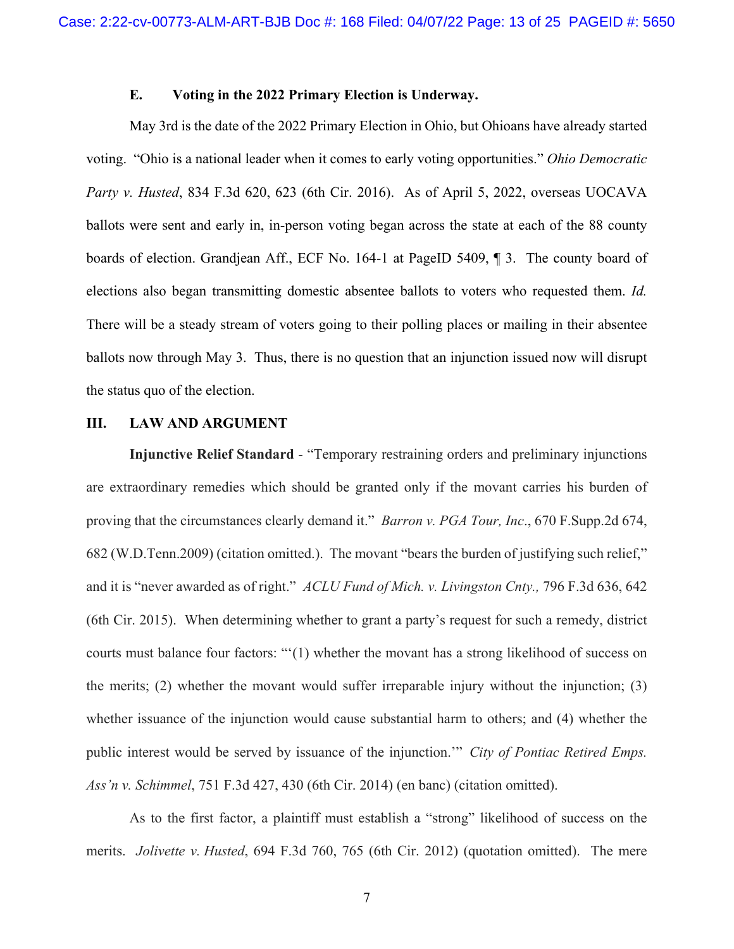#### <span id="page-12-6"></span>**E. Voting in the 2022 Primary Election is Underway.**

<span id="page-12-0"></span>May 3rd is the date of the 2022 Primary Election in Ohio, but Ohioans have already started voting. "Ohio is a national leader when it comes to early voting opportunities." *Ohio Democratic Party v. Husted*, 834 F.3d 620, 623 (6th Cir. 2016). As of April 5, 2022, overseas UOCAVA ballots were sent and early in, in-person voting began across the state at each of the 88 county boards of election. Grandjean Aff., ECF No. 164-1 at PageID 5409, ¶ 3. The county board of elections also began transmitting domestic absentee ballots to voters who requested them. *Id.* There will be a steady stream of voters going to their polling places or mailing in their absentee ballots now through May 3. Thus, there is no question that an injunction issued now will disrupt the status quo of the election.

### <span id="page-12-1"></span>**III. LAW AND ARGUMENT**

<span id="page-12-3"></span><span id="page-12-2"></span>**Injunctive Relief Standard** - "Temporary restraining orders and preliminary injunctions are extraordinary remedies which should be granted only if the movant carries his burden of proving that the circumstances clearly demand it." *Barron v. PGA Tour, Inc*., 670 F.Supp.2d 674, 682 (W.D.Tenn.2009) (citation omitted.). The movant "bears the burden of justifying such relief," and it is "never awarded as of right." *ACLU Fund of Mich. v. Livingston Cnty.,* 796 F.3d 636, 642 (6th Cir. 2015). When determining whether to grant a party's request for such a remedy, district courts must balance four factors: "'(1) whether the movant has a strong likelihood of success on the merits; (2) whether the movant would suffer irreparable injury without the injunction; (3) whether issuance of the injunction would cause substantial harm to others; and (4) whether the public interest would be served by issuance of the injunction.'" *City of Pontiac Retired Emps. Ass'n v. Schimmel*, 751 F.3d 427, 430 (6th Cir. 2014) (en banc) (citation omitted).

<span id="page-12-5"></span><span id="page-12-4"></span>As to the first factor, a plaintiff must establish a "strong" likelihood of success on the merits. *Jolivette v. Husted*, 694 F.3d 760, 765 (6th Cir. 2012) (quotation omitted). The mere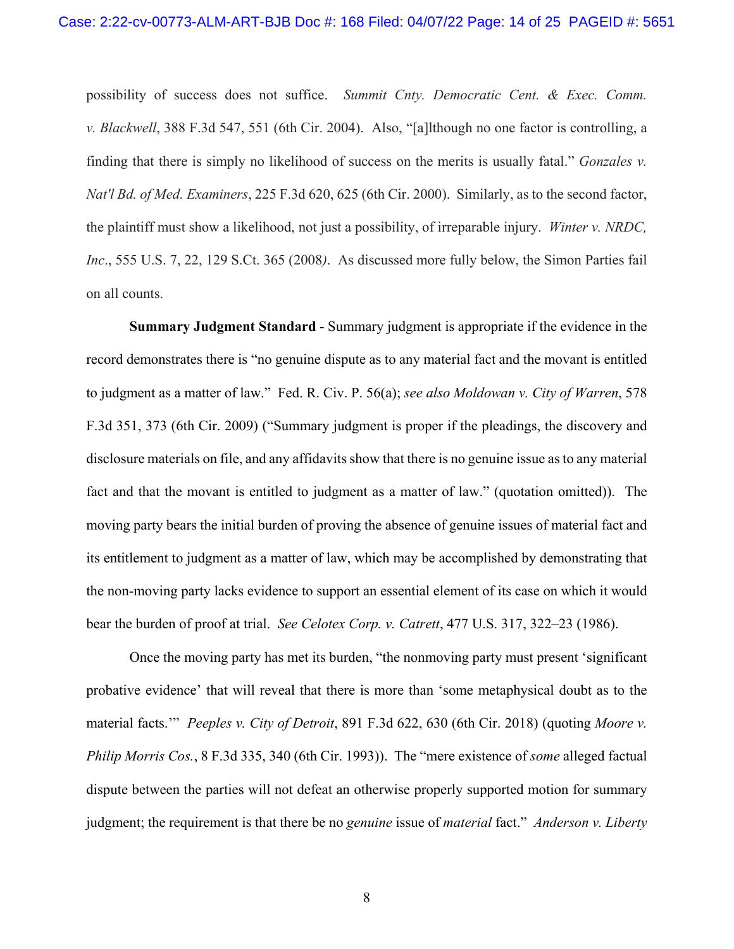<span id="page-13-5"></span><span id="page-13-2"></span>possibility of success does not suffice. *Summit Cnty. Democratic Cent. & Exec. Comm. v. Blackwell*, 388 F.3d 547, 551 (6th Cir. 2004). Also, "[a]lthough no one factor is controlling, a finding that there is simply no likelihood of success on the merits is usually fatal." *Gonzales v. Nat'l Bd. of Med. Examiners*, 225 F.3d 620, 625 (6th Cir. 2000). Similarly, as to the second factor, the plaintiff must show a likelihood, not just a possibility, of irreparable injury. *Winter v. NRDC, Inc*., 555 U.S. 7, 22, 129 S.Ct. 365 (2008*)*. As discussed more fully below, the Simon Parties fail on all counts.

<span id="page-13-7"></span><span id="page-13-6"></span><span id="page-13-3"></span>**Summary Judgment Standard** - Summary judgment is appropriate if the evidence in the record demonstrates there is "no genuine dispute as to any material fact and the movant is entitled to judgment as a matter of law." Fed. R. Civ. P. 56(a); *see also Moldowan v. City of Warren*, 578 F.3d 351, 373 (6th Cir. 2009) ("Summary judgment is proper if the pleadings, the discovery and disclosure materials on file, and any affidavits show that there is no genuine issue as to any material fact and that the movant is entitled to judgment as a matter of law." (quotation omitted)). The moving party bears the initial burden of proving the absence of genuine issues of material fact and its entitlement to judgment as a matter of law, which may be accomplished by demonstrating that the non-moving party lacks evidence to support an essential element of its case on which it would bear the burden of proof at trial. *See Celotex Corp. v. Catrett*, 477 U.S. 317, 322–23 (1986).

<span id="page-13-4"></span><span id="page-13-1"></span><span id="page-13-0"></span>Once the moving party has met its burden, "the nonmoving party must present 'significant probative evidence' that will reveal that there is more than 'some metaphysical doubt as to the material facts.'" *Peeples v. City of Detroit*, 891 F.3d 622, 630 (6th Cir. 2018) (quoting *Moore v. Philip Morris Cos.*, 8 F.3d 335, 340 (6th Cir. 1993)). The "mere existence of *some* alleged factual dispute between the parties will not defeat an otherwise properly supported motion for summary judgment; the requirement is that there be no *genuine* issue of *material* fact." *Anderson v. Liberty*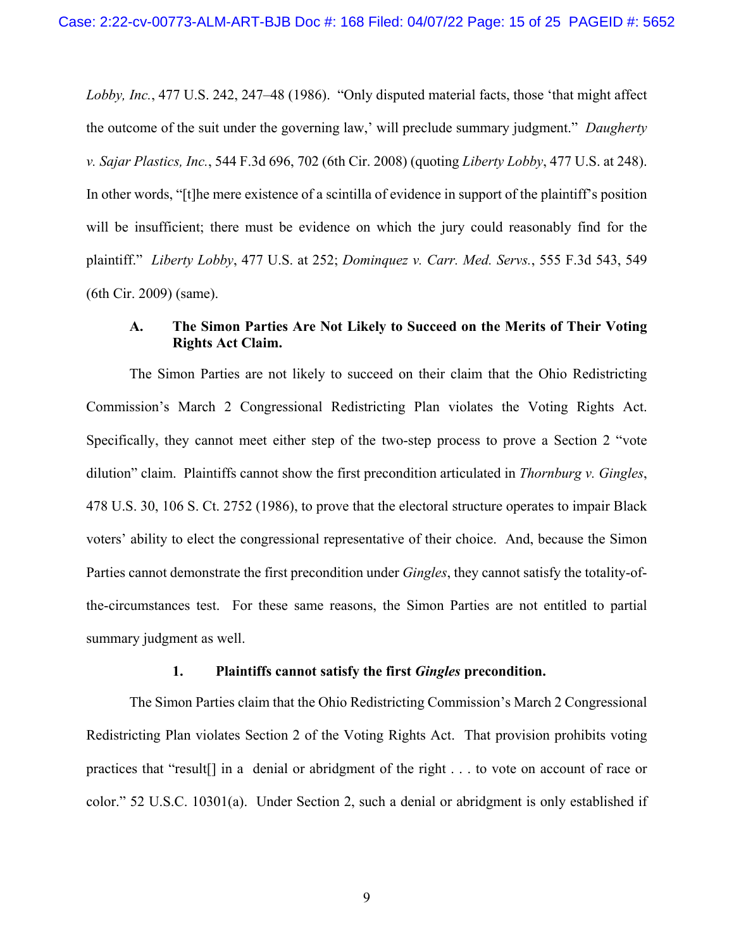*Lobby, Inc.*, 477 U.S. 242, 247–48 (1986). "Only disputed material facts, those 'that might affect the outcome of the suit under the governing law,' will preclude summary judgment." *Daugherty v. Sajar Plastics, Inc.*, 544 F.3d 696, 702 (6th Cir. 2008) (quoting *Liberty Lobby*, 477 U.S. at 248). In other words, "[t]he mere existence of a scintilla of evidence in support of the plaintiff's position will be insufficient; there must be evidence on which the jury could reasonably find for the plaintiff." *Liberty Lobby*, 477 U.S. at 252; *Dominquez v. Carr. Med. Servs.*, 555 F.3d 543, 549 (6th Cir. 2009) (same).

## <span id="page-14-4"></span><span id="page-14-3"></span><span id="page-14-2"></span><span id="page-14-0"></span>**A. The Simon Parties Are Not Likely to Succeed on the Merits of Their Voting Rights Act Claim.**

The Simon Parties are not likely to succeed on their claim that the Ohio Redistricting Commission's March 2 Congressional Redistricting Plan violates the Voting Rights Act. Specifically, they cannot meet either step of the two-step process to prove a Section 2 "vote dilution" claim. Plaintiffs cannot show the first precondition articulated in *Thornburg v. Gingles*, 478 U.S. 30, 106 S. Ct. 2752 (1986), to prove that the electoral structure operates to impair Black voters' ability to elect the congressional representative of their choice. And, because the Simon Parties cannot demonstrate the first precondition under *Gingles*, they cannot satisfy the totality-ofthe-circumstances test. For these same reasons, the Simon Parties are not entitled to partial summary judgment as well.

#### <span id="page-14-5"></span>**1. Plaintiffs cannot satisfy the first** *Gingles* **precondition.**

<span id="page-14-6"></span><span id="page-14-1"></span>The Simon Parties claim that the Ohio Redistricting Commission's March 2 Congressional Redistricting Plan violates Section 2 of the Voting Rights Act. That provision prohibits voting practices that "result[] in a denial or abridgment of the right . . . to vote on account of race or color." 52 U.S.C. 10301(a). Under Section 2, such a denial or abridgment is only established if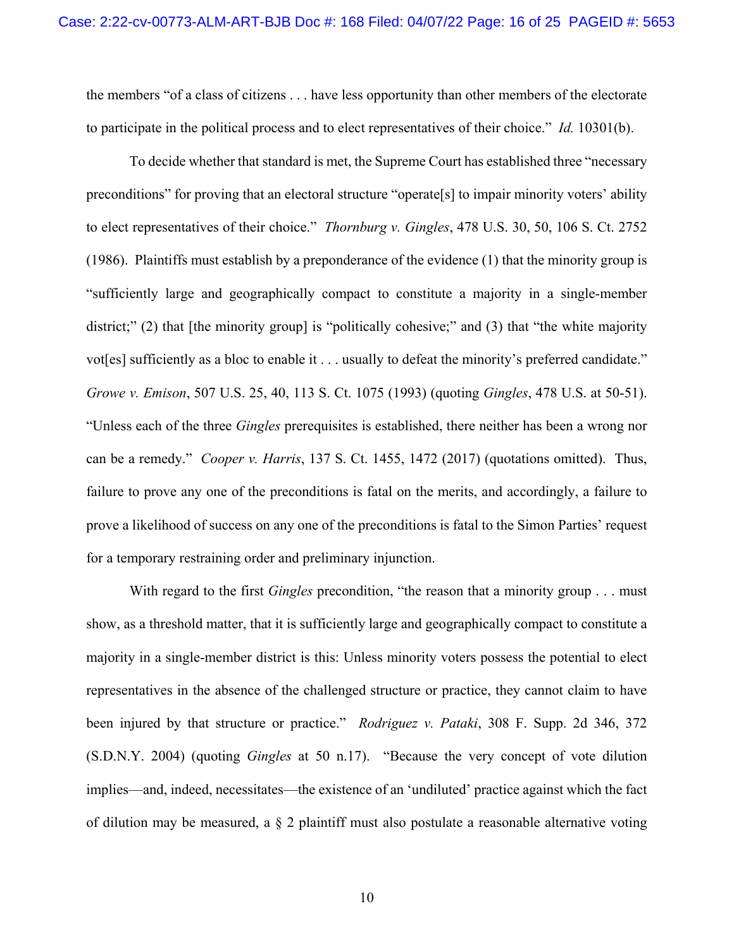the members "of a class of citizens . . . have less opportunity than other members of the electorate to participate in the political process and to elect representatives of their choice." *Id.* 10301(b).

To decide whether that standard is met, the Supreme Court has established three "necessary preconditions" for proving that an electoral structure "operate[s] to impair minority voters' ability to elect representatives of their choice." *Thornburg v. Gingles*, 478 U.S. 30, 50, 106 S. Ct. 2752 (1986). Plaintiffs must establish by a preponderance of the evidence (1) that the minority group is "sufficiently large and geographically compact to constitute a majority in a single-member district;" (2) that [the minority group] is "politically cohesive;" and (3) that "the white majority vot[es] sufficiently as a bloc to enable it . . . usually to defeat the minority's preferred candidate." *Growe v. Emison*, 507 U.S. 25, 40, 113 S. Ct. 1075 (1993) (quoting *Gingles*, 478 U.S. at 50-51). "Unless each of the three *Gingles* prerequisites is established, there neither has been a wrong nor can be a remedy." *Cooper v. Harris*, 137 S. Ct. 1455, 1472 (2017) (quotations omitted). Thus, failure to prove any one of the preconditions is fatal on the merits, and accordingly, a failure to prove a likelihood of success on any one of the preconditions is fatal to the Simon Parties' request for a temporary restraining order and preliminary injunction.

<span id="page-15-2"></span><span id="page-15-1"></span><span id="page-15-0"></span>With regard to the first *Gingles* precondition, "the reason that a minority group . . . must show, as a threshold matter, that it is sufficiently large and geographically compact to constitute a majority in a single-member district is this: Unless minority voters possess the potential to elect representatives in the absence of the challenged structure or practice, they cannot claim to have been injured by that structure or practice." *Rodriguez v. Pataki*, 308 F. Supp. 2d 346, 372 (S.D.N.Y. 2004) (quoting *Gingles* at 50 n.17). "Because the very concept of vote dilution implies—and, indeed, necessitates—the existence of an 'undiluted' practice against which the fact of dilution may be measured, a § 2 plaintiff must also postulate a reasonable alternative voting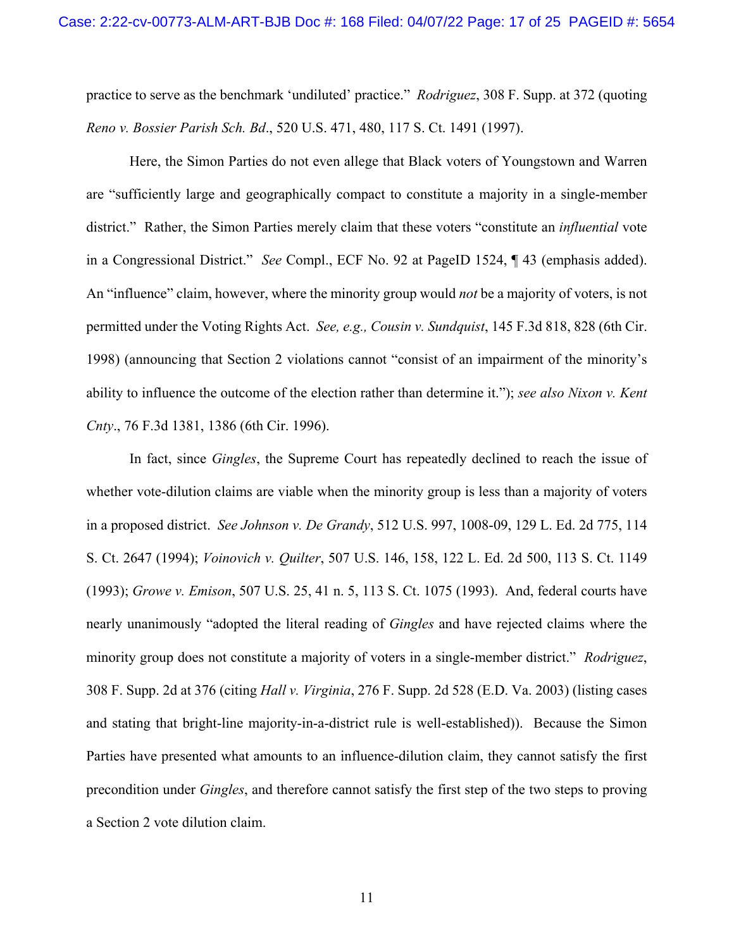<span id="page-16-4"></span>practice to serve as the benchmark 'undiluted' practice." *Rodriguez*, 308 F. Supp. at 372 (quoting *Reno v. Bossier Parish Sch. Bd*., 520 U.S. 471, 480, 117 S. Ct. 1491 (1997).

Here, the Simon Parties do not even allege that Black voters of Youngstown and Warren are "sufficiently large and geographically compact to constitute a majority in a single-member district." Rather, the Simon Parties merely claim that these voters "constitute an *influential* vote in a Congressional District." *See* Compl., ECF No. 92 at PageID 1524, ¶ 43 (emphasis added). An "influence" claim, however, where the minority group would *not* be a majority of voters, is not permitted under the Voting Rights Act. *See, e.g., Cousin v. Sundquist*, 145 F.3d 818, 828 (6th Cir. 1998) (announcing that Section 2 violations cannot "consist of an impairment of the minority's ability to influence the outcome of the election rather than determine it."); *see also Nixon v. Kent Cnty*., 76 F.3d 1381, 1386 (6th Cir. 1996).

<span id="page-16-5"></span><span id="page-16-3"></span><span id="page-16-2"></span><span id="page-16-1"></span><span id="page-16-0"></span>In fact, since *Gingles*, the Supreme Court has repeatedly declined to reach the issue of whether vote-dilution claims are viable when the minority group is less than a majority of voters in a proposed district. *See Johnson v. De Grandy*, 512 U.S. 997, 1008-09, 129 L. Ed. 2d 775, 114 S. Ct. 2647 (1994); *Voinovich v. Quilter*, 507 U.S. 146, 158, 122 L. Ed. 2d 500, 113 S. Ct. 1149 (1993); *Growe v. Emison*, 507 U.S. 25, 41 n. 5, 113 S. Ct. 1075 (1993). And, federal courts have nearly unanimously "adopted the literal reading of *Gingles* and have rejected claims where the minority group does not constitute a majority of voters in a single-member district." *Rodriguez*, 308 F. Supp. 2d at 376 (citing *Hall v. Virginia*, 276 F. Supp. 2d 528 (E.D. Va. 2003) (listing cases and stating that bright-line majority-in-a-district rule is well-established)). Because the Simon Parties have presented what amounts to an influence-dilution claim, they cannot satisfy the first precondition under *Gingles*, and therefore cannot satisfy the first step of the two steps to proving a Section 2 vote dilution claim.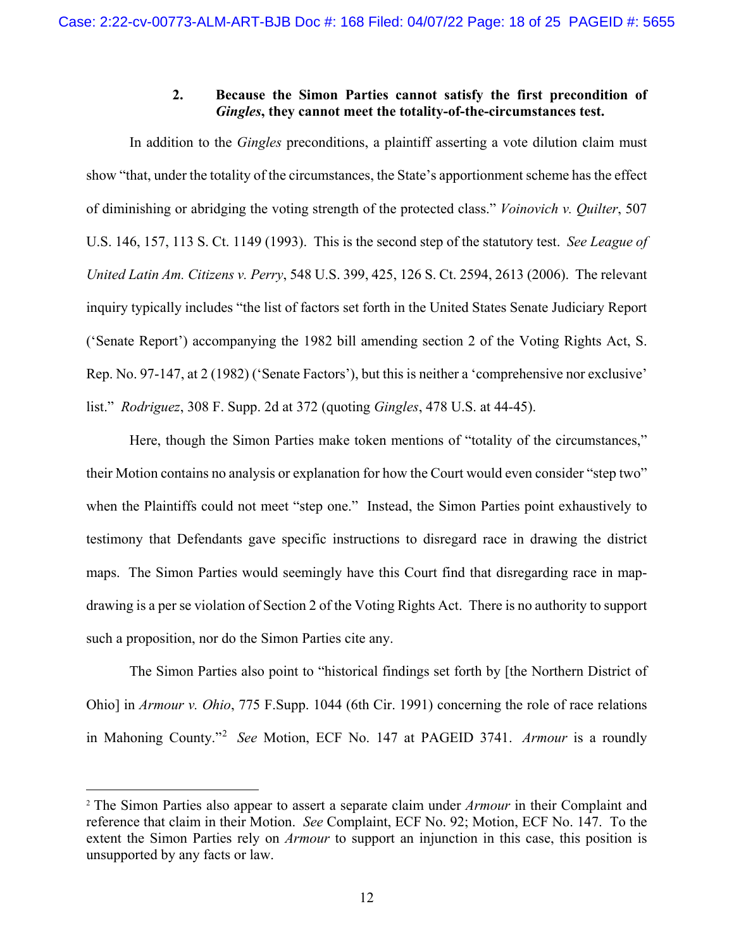## <span id="page-17-4"></span><span id="page-17-2"></span>**2. Because the Simon Parties cannot satisfy the first precondition of**  *Gingles***, they cannot meet the totality-of-the-circumstances test.**

<span id="page-17-0"></span>In addition to the *Gingles* preconditions, a plaintiff asserting a vote dilution claim must show "that, under the totality of the circumstances, the State's apportionment scheme has the effect of diminishing or abridging the voting strength of the protected class." *Voinovich v. Quilter*, 507 U.S. 146, 157, 113 S. Ct. 1149 (1993). This is the second step of the statutory test. *See League of United Latin Am. Citizens v. Perry*, 548 U.S. 399, 425, 126 S. Ct. 2594, 2613 (2006). The relevant inquiry typically includes "the list of factors set forth in the United States Senate Judiciary Report ('Senate Report') accompanying the 1982 bill amending section 2 of the Voting Rights Act, S. Rep. No. 97-147, at 2 (1982) ('Senate Factors'), but this is neither a 'comprehensive nor exclusive' list." *Rodriguez*, 308 F. Supp. 2d at 372 (quoting *Gingles*, 478 U.S. at 44-45).

<span id="page-17-3"></span>Here, though the Simon Parties make token mentions of "totality of the circumstances," their Motion contains no analysis or explanation for how the Court would even consider "step two" when the Plaintiffs could not meet "step one." Instead, the Simon Parties point exhaustively to testimony that Defendants gave specific instructions to disregard race in drawing the district maps. The Simon Parties would seemingly have this Court find that disregarding race in mapdrawing is a per se violation of Section 2 of the Voting Rights Act. There is no authority to support such a proposition, nor do the Simon Parties cite any.

<span id="page-17-1"></span>The Simon Parties also point to "historical findings set forth by [the Northern District of Ohio] in *Armour v. Ohio*, 775 F.Supp. 1044 (6th Cir. 1991) concerning the role of race relations in Mahoning County."[2](#page-17-5) *See* Motion, ECF No. 147 at PAGEID 3741. *Armour* is a roundly

<span id="page-17-5"></span> <sup>2</sup> The Simon Parties also appear to assert a separate claim under *Armour* in their Complaint and reference that claim in their Motion. *See* Complaint, ECF No. 92; Motion, ECF No. 147. To the extent the Simon Parties rely on *Armour* to support an injunction in this case, this position is unsupported by any facts or law.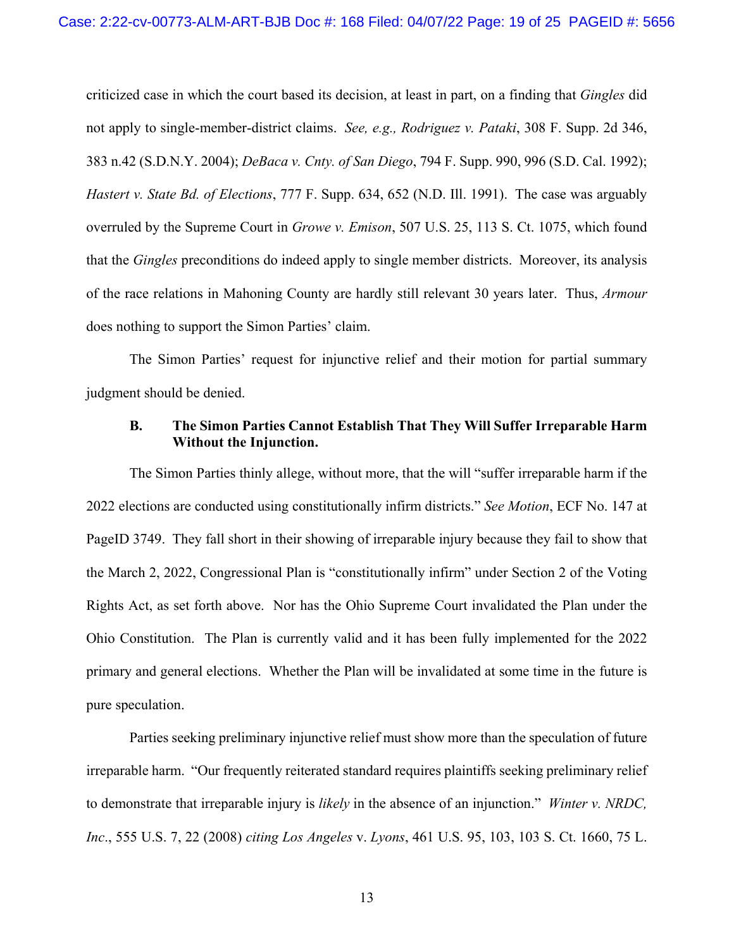<span id="page-18-5"></span><span id="page-18-4"></span><span id="page-18-3"></span><span id="page-18-2"></span>criticized case in which the court based its decision, at least in part, on a finding that *Gingles* did not apply to single-member-district claims. *See, e.g., Rodriguez v. Pataki*, 308 F. Supp. 2d 346, 383 n.42 (S.D.N.Y. 2004); *DeBaca v. Cnty. of San Diego*, 794 F. Supp. 990, 996 (S.D. Cal. 1992); *Hastert v. State Bd. of Elections*, 777 F. Supp. 634, 652 (N.D. Ill. 1991). The case was arguably overruled by the Supreme Court in *Growe v. Emison*, 507 U.S. 25, 113 S. Ct. 1075, which found that the *Gingles* preconditions do indeed apply to single member districts. Moreover, its analysis of the race relations in Mahoning County are hardly still relevant 30 years later. Thus, *Armour*  does nothing to support the Simon Parties' claim.

The Simon Parties' request for injunctive relief and their motion for partial summary judgment should be denied.

#### <span id="page-18-1"></span><span id="page-18-0"></span>**B. The Simon Parties Cannot Establish That They Will Suffer Irreparable Harm Without the Injunction.**

The Simon Parties thinly allege, without more, that the will "suffer irreparable harm if the 2022 elections are conducted using constitutionally infirm districts." *See Motion*, ECF No. 147 at PageID 3749. They fall short in their showing of irreparable injury because they fail to show that the March 2, 2022, Congressional Plan is "constitutionally infirm" under Section 2 of the Voting Rights Act, as set forth above. Nor has the Ohio Supreme Court invalidated the Plan under the Ohio Constitution. The Plan is currently valid and it has been fully implemented for the 2022 primary and general elections. Whether the Plan will be invalidated at some time in the future is pure speculation.

<span id="page-18-6"></span>Parties seeking preliminary injunctive relief must show more than the speculation of future irreparable harm. "Our frequently reiterated standard requires plaintiffs seeking preliminary relief to demonstrate that irreparable injury is *likely* in the absence of an injunction." *Winter v. NRDC, Inc*., 555 U.S. 7, 22 (2008) *citing Los Angeles* v. *Lyons*, 461 U.S. 95, 103, 103 S. Ct. 1660, 75 L.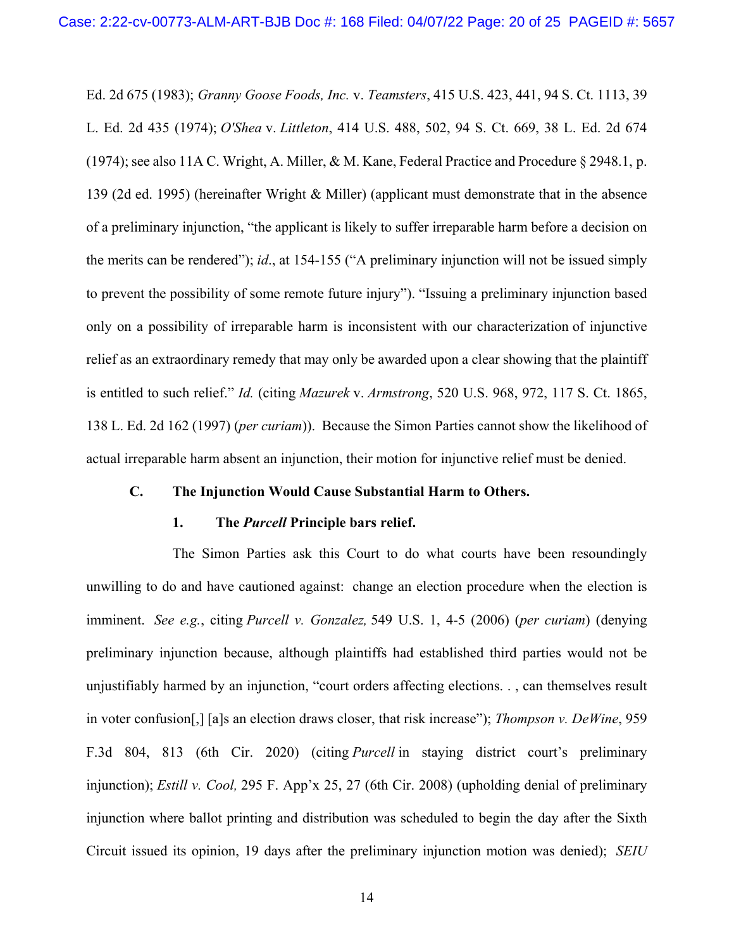<span id="page-19-8"></span><span id="page-19-4"></span><span id="page-19-3"></span>Ed. 2d 675 (1983); *Granny Goose Foods, Inc.* v. *Teamsters*, 415 U.S. 423, 441, 94 S. Ct. 1113, 39 L. Ed. 2d 435 (1974); *O'Shea* v. *Littleton*, 414 U.S. 488, 502, 94 S. Ct. 669, 38 L. Ed. 2d 674 (1974); see also 11A C. Wright, A. Miller, & M. Kane, Federal Practice and Procedure § 2948.1, p. 139 (2d ed. 1995) (hereinafter Wright & Miller) (applicant must demonstrate that in the absence of a preliminary injunction, "the applicant is likely to suffer irreparable harm before a decision on the merits can be rendered"); *id*., at 154-155 ("A preliminary injunction will not be issued simply to prevent the possibility of some remote future injury"). "Issuing a preliminary injunction based only on a possibility of irreparable harm is inconsistent with our characterization of injunctive relief as an extraordinary remedy that may only be awarded upon a clear showing that the plaintiff is entitled to such relief." *Id.* (citing *Mazurek* v. *Armstrong*, 520 U.S. 968, 972, 117 S. Ct. 1865, 138 L. Ed. 2d 162 (1997) (*per curiam*)). Because the Simon Parties cannot show the likelihood of actual irreparable harm absent an injunction, their motion for injunctive relief must be denied.

#### <span id="page-19-0"></span>**C. The Injunction Would Cause Substantial Harm to Others.**

#### <span id="page-19-7"></span><span id="page-19-6"></span><span id="page-19-5"></span>**1. The** *Purcell* **Principle bars relief.**

<span id="page-19-2"></span><span id="page-19-1"></span>The Simon Parties ask this Court to do what courts have been resoundingly unwilling to do and have cautioned against: change an election procedure when the election is imminent. *See e.g.*, citing *Purcell v. Gonzalez,* 549 U.S. 1, 4-5 (2006) (*per curiam*) (denying preliminary injunction because, although plaintiffs had established third parties would not be unjustifiably harmed by an injunction, "court orders affecting elections. . , can themselves result in voter confusion[,] [a]s an election draws closer, that risk increase"); *Thompson v. DeWine*, 959 F.3d 804, 813 (6th Cir. 2020) (citing *Purcell* in staying district court's preliminary injunction); *Estill v. Cool,* 295 F. App'x 25, 27 (6th Cir. 2008) (upholding denial of preliminary injunction where ballot printing and distribution was scheduled to begin the day after the Sixth Circuit issued its opinion, 19 days after the preliminary injunction motion was denied); *SEIU*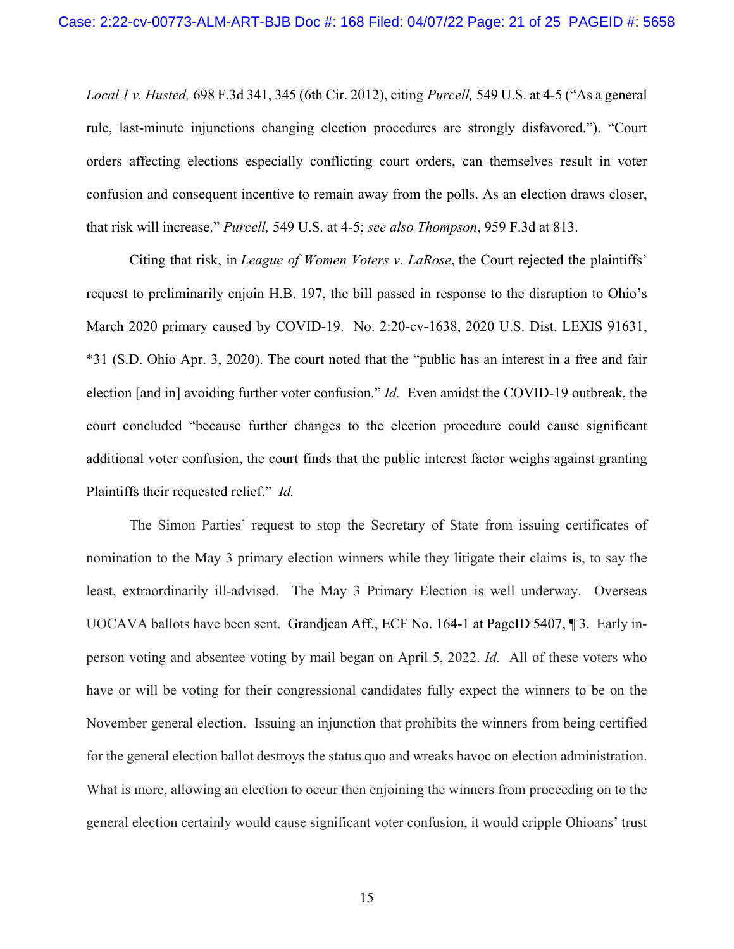*Local 1 v. Husted,* 698 F.3d 341, 345 (6th Cir. 2012), citing *Purcell,* 549 U.S. at 4-5 ("As a general rule, last-minute injunctions changing election procedures are strongly disfavored."). "Court orders affecting elections especially conflicting court orders, can themselves result in voter confusion and consequent incentive to remain away from the polls. As an election draws closer, that risk will increase." *Purcell,* 549 U.S. at 4-5; *see also Thompson*, 959 F.3d at 813.

<span id="page-20-3"></span><span id="page-20-2"></span><span id="page-20-1"></span><span id="page-20-0"></span>Citing that risk, in *League of Women Voters v. LaRose*, the Court rejected the plaintiffs' request to preliminarily enjoin H.B. 197, the bill passed in response to the disruption to Ohio's March 2020 primary caused by COVID-19. No. 2:20-cv-1638, 2020 U.S. Dist. LEXIS 91631, \*31 (S.D. Ohio Apr. 3, 2020). The court noted that the "public has an interest in a free and fair election [and in] avoiding further voter confusion." *Id.* Even amidst the COVID-19 outbreak, the court concluded "because further changes to the election procedure could cause significant additional voter confusion, the court finds that the public interest factor weighs against granting Plaintiffs their requested relief." *Id.*

The Simon Parties' request to stop the Secretary of State from issuing certificates of nomination to the May 3 primary election winners while they litigate their claims is, to say the least, extraordinarily ill-advised. The May 3 Primary Election is well underway. Overseas UOCAVA ballots have been sent. Grandjean Aff., ECF No. 164-1 at PageID 5407, ¶ 3. Early inperson voting and absentee voting by mail began on April 5, 2022. *Id.* All of these voters who have or will be voting for their congressional candidates fully expect the winners to be on the November general election. Issuing an injunction that prohibits the winners from being certified for the general election ballot destroys the status quo and wreaks havoc on election administration. What is more, allowing an election to occur then enjoining the winners from proceeding on to the general election certainly would cause significant voter confusion, it would cripple Ohioans' trust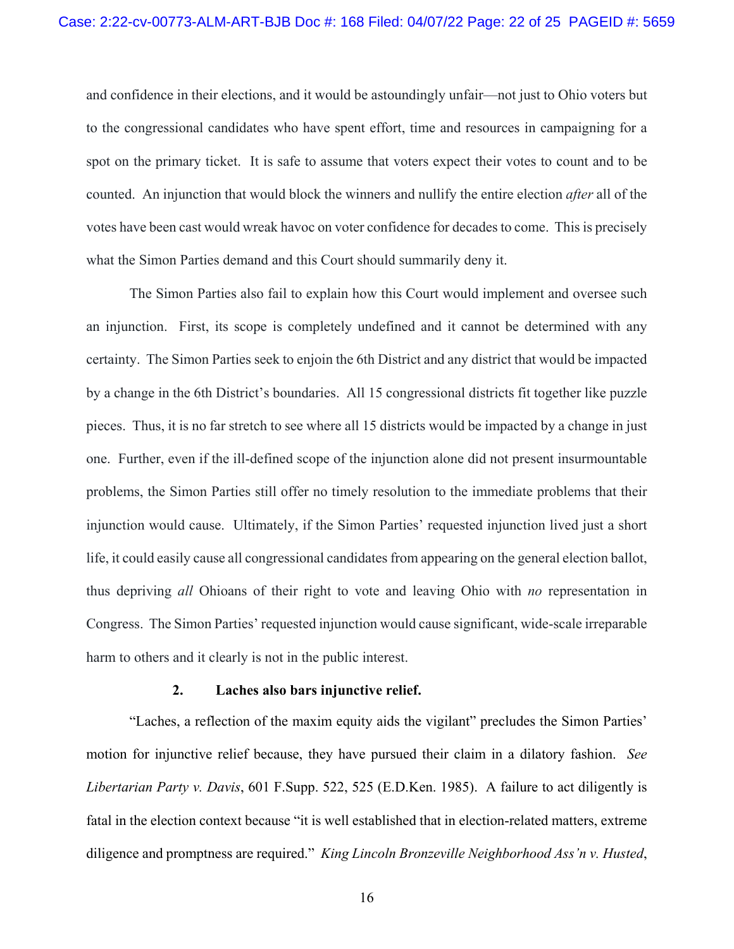and confidence in their elections, and it would be astoundingly unfair—not just to Ohio voters but to the congressional candidates who have spent effort, time and resources in campaigning for a spot on the primary ticket. It is safe to assume that voters expect their votes to count and to be counted. An injunction that would block the winners and nullify the entire election *after* all of the votes have been cast would wreak havoc on voter confidence for decades to come. This is precisely what the Simon Parties demand and this Court should summarily deny it.

The Simon Parties also fail to explain how this Court would implement and oversee such an injunction. First, its scope is completely undefined and it cannot be determined with any certainty. The Simon Parties seek to enjoin the 6th District and any district that would be impacted by a change in the 6th District's boundaries. All 15 congressional districts fit together like puzzle pieces. Thus, it is no far stretch to see where all 15 districts would be impacted by a change in just one. Further, even if the ill-defined scope of the injunction alone did not present insurmountable problems, the Simon Parties still offer no timely resolution to the immediate problems that their injunction would cause. Ultimately, if the Simon Parties' requested injunction lived just a short life, it could easily cause all congressional candidates from appearing on the general election ballot, thus depriving *all* Ohioans of their right to vote and leaving Ohio with *no* representation in Congress. The Simon Parties' requested injunction would cause significant, wide-scale irreparable harm to others and it clearly is not in the public interest.

#### <span id="page-21-1"></span>**2. Laches also bars injunctive relief.**

<span id="page-21-2"></span><span id="page-21-0"></span>"Laches, a reflection of the maxim equity aids the vigilant" precludes the Simon Parties' motion for injunctive relief because, they have pursued their claim in a dilatory fashion. *See Libertarian Party v. Davis*, 601 F.Supp. 522, 525 (E.D.Ken. 1985). A failure to act diligently is fatal in the election context because "it is well established that in election-related matters, extreme diligence and promptness are required." *King Lincoln Bronzeville Neighborhood Ass'n v. Husted*,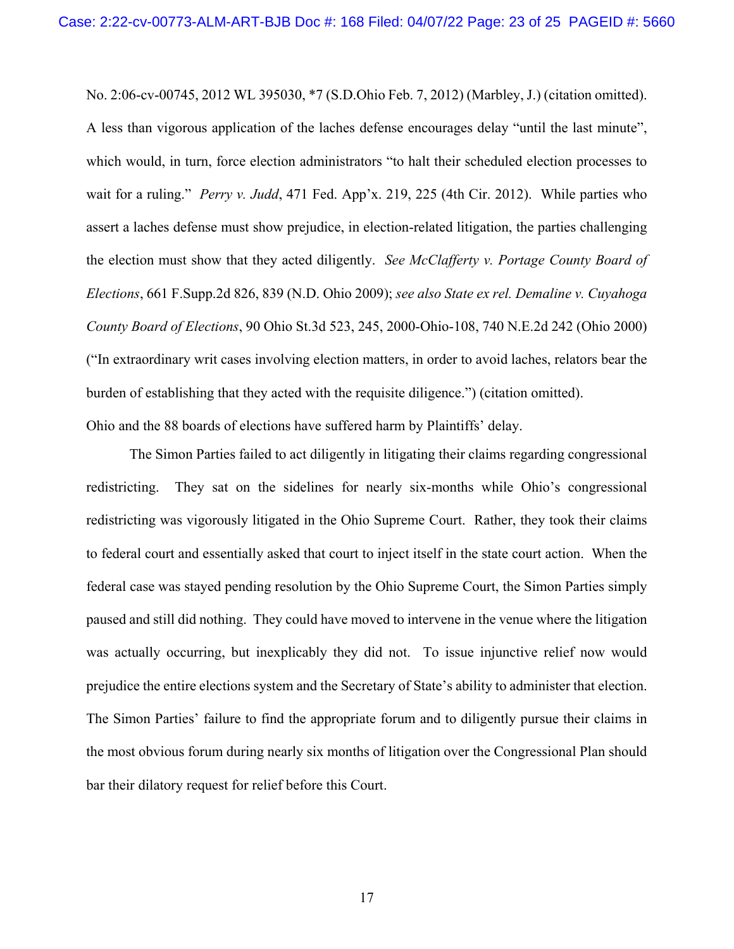<span id="page-22-2"></span><span id="page-22-1"></span>No. 2:06-cv-00745, 2012 WL 395030, \*7 (S.D.Ohio Feb. 7, 2012) (Marbley, J.) (citation omitted). A less than vigorous application of the laches defense encourages delay "until the last minute", which would, in turn, force election administrators "to halt their scheduled election processes to wait for a ruling." *Perry v. Judd*, 471 Fed. App'x. 219, 225 (4th Cir. 2012). While parties who assert a laches defense must show prejudice, in election-related litigation, the parties challenging the election must show that they acted diligently. *See McClafferty v. Portage County Board of Elections*, 661 F.Supp.2d 826, 839 (N.D. Ohio 2009); *see also State ex rel. Demaline v. Cuyahoga County Board of Elections*, 90 Ohio St.3d 523, 245, 2000-Ohio-108, 740 N.E.2d 242 (Ohio 2000) ("In extraordinary writ cases involving election matters, in order to avoid laches, relators bear the burden of establishing that they acted with the requisite diligence.") (citation omitted). Ohio and the 88 boards of elections have suffered harm by Plaintiffs' delay.

<span id="page-22-0"></span>The Simon Parties failed to act diligently in litigating their claims regarding congressional redistricting. They sat on the sidelines for nearly six-months while Ohio's congressional redistricting was vigorously litigated in the Ohio Supreme Court. Rather, they took their claims to federal court and essentially asked that court to inject itself in the state court action. When the federal case was stayed pending resolution by the Ohio Supreme Court, the Simon Parties simply paused and still did nothing. They could have moved to intervene in the venue where the litigation was actually occurring, but inexplicably they did not. To issue injunctive relief now would prejudice the entire elections system and the Secretary of State's ability to administer that election. The Simon Parties' failure to find the appropriate forum and to diligently pursue their claims in the most obvious forum during nearly six months of litigation over the Congressional Plan should bar their dilatory request for relief before this Court.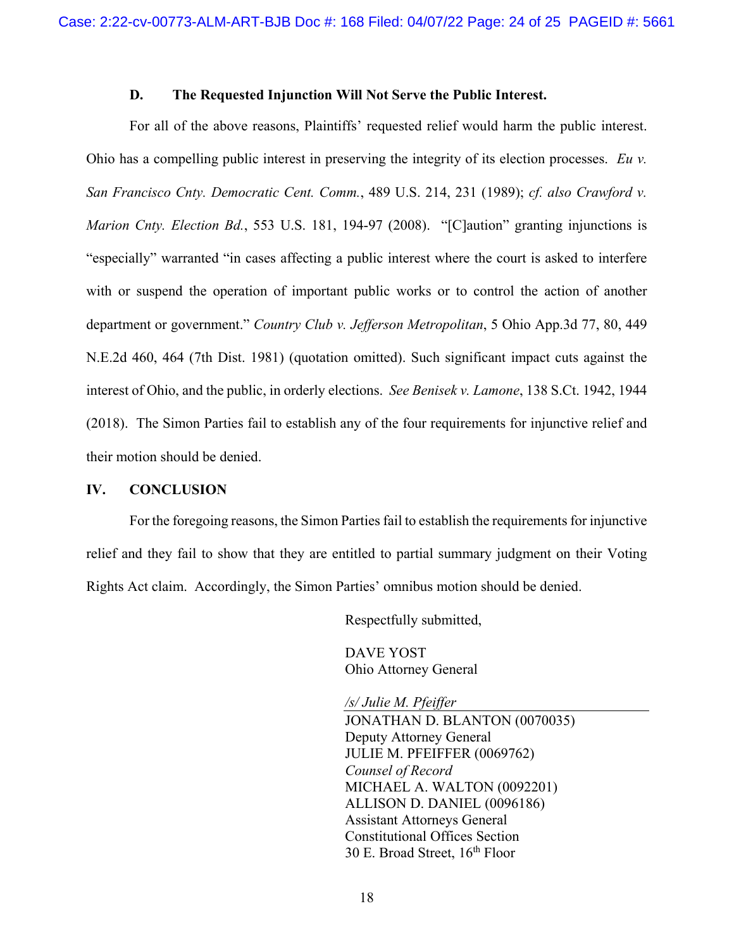#### <span id="page-23-5"></span><span id="page-23-4"></span>**D. The Requested Injunction Will Not Serve the Public Interest.**

<span id="page-23-0"></span>For all of the above reasons, Plaintiffs' requested relief would harm the public interest. Ohio has a compelling public interest in preserving the integrity of its election processes. *Eu v. San Francisco Cnty. Democratic Cent. Comm.*, 489 U.S. 214, 231 (1989); *cf. also Crawford v. Marion Cnty. Election Bd.*, 553 U.S. 181, 194-97 (2008). "[C]aution" granting injunctions is "especially" warranted "in cases affecting a public interest where the court is asked to interfere with or suspend the operation of important public works or to control the action of another department or government." *Country Club v. Jefferson Metropolitan*, 5 Ohio App.3d 77, 80, 449 N.E.2d 460, 464 (7th Dist. 1981) (quotation omitted). Such significant impact cuts against the interest of Ohio, and the public, in orderly elections. *See Benisek v. Lamone*, 138 S.Ct. 1942, 1944 (2018). The Simon Parties fail to establish any of the four requirements for injunctive relief and their motion should be denied.

#### <span id="page-23-3"></span><span id="page-23-1"></span>**IV. CONCLUSION**

For the foregoing reasons, the Simon Parties fail to establish the requirements for injunctive relief and they fail to show that they are entitled to partial summary judgment on their Voting Rights Act claim. Accordingly, the Simon Parties' omnibus motion should be denied.

<span id="page-23-2"></span>Respectfully submitted,

DAVE YOST Ohio Attorney General

*/s/ Julie M. Pfeiffer* JONATHAN D. BLANTON (0070035) Deputy Attorney General JULIE M. PFEIFFER (0069762) *Counsel of Record* MICHAEL A. WALTON (0092201) ALLISON D. DANIEL (0096186) Assistant Attorneys General Constitutional Offices Section 30 E. Broad Street, 16th Floor